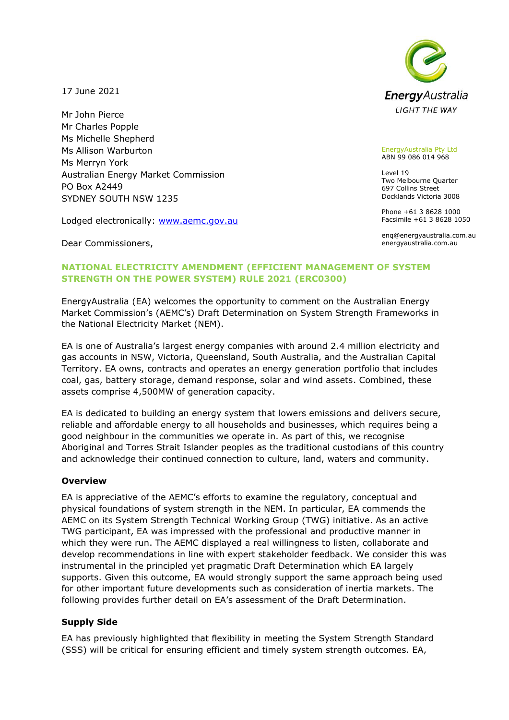**Energy** Australia **LIGHT THE WAY** 

17 June 2021

Mr John Pierce Mr Charles Popple Ms Michelle Shepherd Ms Allison Warburton Ms Merryn York Australian Energy Market Commission PO Box A2449 SYDNEY SOUTH NSW 1235

Lodged electronically: [www.aemc.gov.au](http://www.aemc.gov.au/)

Dear Commissioners,

#### EnergyAustralia Pty Ltd ABN 99 086 014 968

Level 19 Two Melbourne Quarter 697 Collins Street Docklands Victoria 3008

Phone +61 3 8628 1000 Facsimile +61 3 8628 1050

enq@energyaustralia.com.au energyaustralia.com.au

# **NATIONAL ELECTRICITY AMENDMENT (EFFICIENT MANAGEMENT OF SYSTEM STRENGTH ON THE POWER SYSTEM) RULE 2021 (ERC0300)**

EnergyAustralia (EA) welcomes the opportunity to comment on the Australian Energy Market Commission's (AEMC's) Draft Determination on System Strength Frameworks in the National Electricity Market (NEM).

EA is one of Australia's largest energy companies with around 2.4 million electricity and gas accounts in NSW, Victoria, Queensland, South Australia, and the Australian Capital Territory. EA owns, contracts and operates an energy generation portfolio that includes coal, gas, battery storage, demand response, solar and wind assets. Combined, these assets comprise 4,500MW of generation capacity.

EA is dedicated to building an energy system that lowers emissions and delivers secure, reliable and affordable energy to all households and businesses, which requires being a good neighbour in the communities we operate in. As part of this, we recognise Aboriginal and Torres Strait Islander peoples as the traditional custodians of this country and acknowledge their continued connection to culture, land, waters and community.

### **Overview**

EA is appreciative of the AEMC's efforts to examine the regulatory, conceptual and physical foundations of system strength in the NEM. In particular, EA commends the AEMC on its System Strength Technical Working Group (TWG) initiative. As an active TWG participant, EA was impressed with the professional and productive manner in which they were run. The AEMC displayed a real willingness to listen, collaborate and develop recommendations in line with expert stakeholder feedback. We consider this was instrumental in the principled yet pragmatic Draft Determination which EA largely supports. Given this outcome, EA would strongly support the same approach being used for other important future developments such as consideration of inertia markets. The following provides further detail on EA's assessment of the Draft Determination.

## **Supply Side**

EA has previously highlighted that flexibility in meeting the System Strength Standard (SSS) will be critical for ensuring efficient and timely system strength outcomes. EA,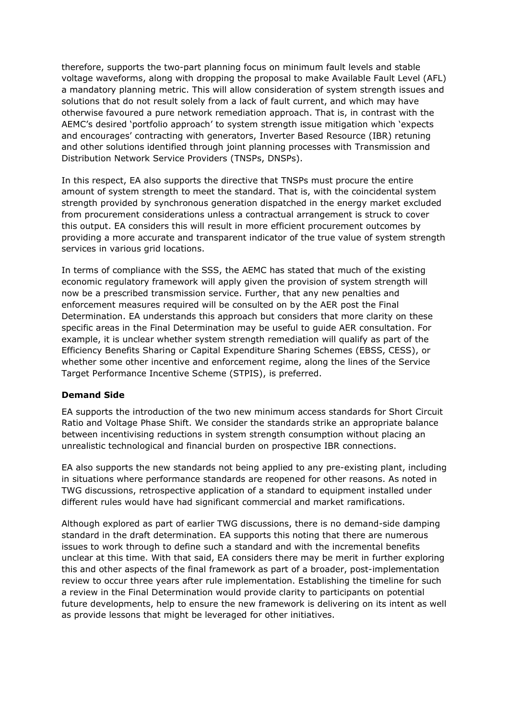therefore, supports the two-part planning focus on minimum fault levels and stable voltage waveforms, along with dropping the proposal to make Available Fault Level (AFL) a mandatory planning metric. This will allow consideration of system strength issues and solutions that do not result solely from a lack of fault current, and which may have otherwise favoured a pure network remediation approach. That is, in contrast with the AEMC's desired 'portfolio approach' to system strength issue mitigation which 'expects and encourages' contracting with generators, Inverter Based Resource (IBR) retuning and other solutions identified through joint planning processes with Transmission and Distribution Network Service Providers (TNSPs, DNSPs).

In this respect, EA also supports the directive that TNSPs must procure the entire amount of system strength to meet the standard. That is, with the coincidental system strength provided by synchronous generation dispatched in the energy market excluded from procurement considerations unless a contractual arrangement is struck to cover this output. EA considers this will result in more efficient procurement outcomes by providing a more accurate and transparent indicator of the true value of system strength services in various grid locations.

In terms of compliance with the SSS, the AEMC has stated that much of the existing economic regulatory framework will apply given the provision of system strength will now be a prescribed transmission service. Further, that any new penalties and enforcement measures required will be consulted on by the AER post the Final Determination. EA understands this approach but considers that more clarity on these specific areas in the Final Determination may be useful to guide AER consultation. For example, it is unclear whether system strength remediation will qualify as part of the Efficiency Benefits Sharing or Capital Expenditure Sharing Schemes (EBSS, CESS), or whether some other incentive and enforcement regime, along the lines of the Service Target Performance Incentive Scheme (STPIS), is preferred.

### **Demand Side**

EA supports the introduction of the two new minimum access standards for Short Circuit Ratio and Voltage Phase Shift. We consider the standards strike an appropriate balance between incentivising reductions in system strength consumption without placing an unrealistic technological and financial burden on prospective IBR connections.

EA also supports the new standards not being applied to any pre-existing plant, including in situations where performance standards are reopened for other reasons. As noted in TWG discussions, retrospective application of a standard to equipment installed under different rules would have had significant commercial and market ramifications.

Although explored as part of earlier TWG discussions, there is no demand-side damping standard in the draft determination. EA supports this noting that there are numerous issues to work through to define such a standard and with the incremental benefits unclear at this time. With that said, EA considers there may be merit in further exploring this and other aspects of the final framework as part of a broader, post-implementation review to occur three years after rule implementation. Establishing the timeline for such a review in the Final Determination would provide clarity to participants on potential future developments, help to ensure the new framework is delivering on its intent as well as provide lessons that might be leveraged for other initiatives.